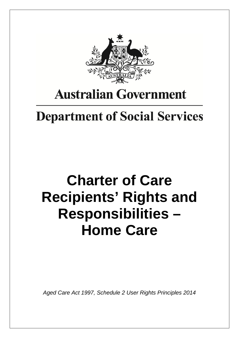

# **Australian Government**

# **Department of Social Services**

# **Charter of Care Recipients' Rights and Responsibilities – Home Care**

*Aged Care Act 1997, Schedule 2 User Rights Principles 2014*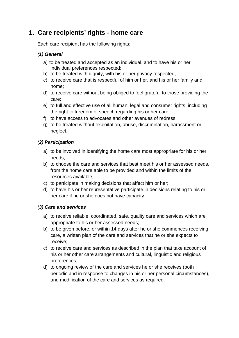# **1. Care recipients' rights - home care**

Each care recipient has the following rights:

# *(1) General*

- a) to be treated and accepted as an individual, and to have his or her individual preferences respected;
- b) to be treated with dignity, with his or her privacy respected;
- c) to receive care that is respectful of him or her, and his or her family and home;
- d) to receive care without being obliged to feel grateful to those providing the care;
- e) to full and effective use of all human, legal and consumer rights, including the right to freedom of speech regarding his or her care;
- f) to have access to advocates and other avenues of redress;
- g) to be treated without exploitation, abuse, discrimination, harassment or neglect.

# *(2) Participation*

- a) to be involved in identifying the home care most appropriate for his or her needs;
- b) to choose the care and services that best meet his or her assessed needs, from the home care able to be provided and within the limits of the resources available;
- c) to participate in making decisions that affect him or her;
- d) to have his or her representative participate in decisions relating to his or her care if he or she does not have capacity.

# *(3) Care and services*

- a) to receive reliable, coordinated, safe, quality care and services which are appropriate to his or her assessed needs;
- b) to be given before, or within 14 days after he or she commences receiving care, a written plan of the care and services that he or she expects to receive;
- c) to receive care and services as described in the plan that take account of his or her other care arrangements and cultural, linguistic and religious preferences;
- d) to ongoing review of the care and services he or she receives (both periodic and in response to changes in his or her personal circumstances), and modification of the care and services as required.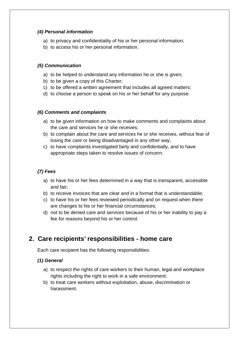# *(4) Personal information*

- a) to privacy and confidentiality of his or her personal information;
- b) to access his or her personal information.

# *(5) Communication*

- a) to be helped to understand any information he or she is given;
- b) to be given a copy of this Charter;
- c) to be offered a written agreement that includes all agreed matters;
- d) to choose a person to speak on his or her behalf for any purpose.

# *(6) Comments and complaints*

- a) to be given information on how to make comments and complaints about the care and services he or she receives;
- b) to complain about the care and services he or she receives, without fear of losing the care or being disadvantaged in any other way;
- c) to have complaints investigated fairly and confidentially, and to have appropriate steps taken to resolve issues of concern.

# *(7) Fees*

- a) to have his or her fees determined in a way that is transparent, accessible and fair;
- b) to receive invoices that are clear and in a format that is understandable;
- c) to have his or her fees reviewed periodically and on request when there are changes to his or her financial circumstances;
- d) not to be denied care and services because of his or her inability to pay a fee for reasons beyond his or her control.

# **2. Care recipients' responsibilities - home care**

Each care recipient has the following responsibilities:

# *(1) General*

- a) to respect the rights of care workers to their human, legal and workplace rights including the right to work in a safe environment;
- b) to treat care workers without exploitation, abuse, discrimination or harassment.